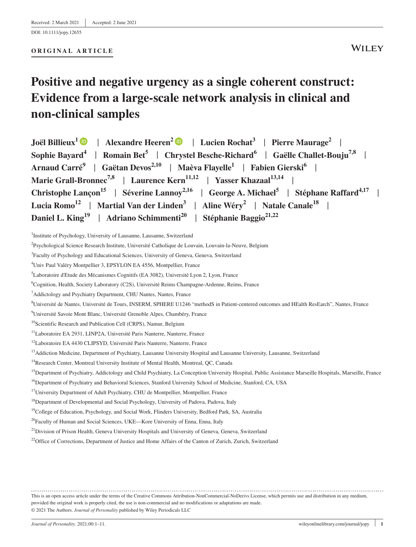#### **ORIGINAL ARTICLE**

# **Positive and negative urgency as a single coherent construct: Evidence from a large-scale network analysis in clinical and non-clinical samples**

<sup>1</sup>Institute of Psychology, University of Lausanne, Lausanne, Switzerland

<sup>12</sup>Laboratoire EA 4430 CLIPSYD, Université Paris Nanterre, Nanterre, France

<sup>13</sup>Addiction Medicine, Department of Psychiatry, Lausanne University Hospital and Lausanne University, Lausanne, Switzerland

<sup>14</sup>Research Center, Montreal University Institute of Mental Health, Montreal, OC, Canada

<sup>16</sup>Department of Psychiatry and Behavioral Sciences, Stanford University School of Medicine, Stanford, CA, USA

<sup>2</sup> Psychological Science Research Institute, Université Catholique de Louvain, Louvain-la-Neuve, Belgium

<sup>3</sup> Faculty of Psychology and Educational Sciences, University of Geneva, Geneva, Switzerland

<sup>4</sup> Univ Paul Valéry Montpellier 3, EPSYLON EA 4556, Montpellier, France

<sup>5</sup> Laboratoire d'Etude des Mécanismes Cognitifs (EA 3082), Université Lyon 2, Lyon, France

<sup>6</sup> Cognition, Health, Society Laboratory (C2S), Université Reims Champagne-Ardenne, Reims, France

<sup>&</sup>lt;sup>7</sup>Addictology and Psychiatry Department, CHU Nantes, Nantes, France

<sup>8</sup> Université de Nantes, Université de Tours, INSERM, SPHERE U1246 "methodS in Patient-centered outcomes and HEalth ResEarch", Nantes, France

<sup>9</sup> Université Savoie Mont Blanc, Université Grenoble Alpes, Chambéry, France

<sup>&</sup>lt;sup>10</sup>Scientific Research and Publication Cell (CRPS), Namur, Belgium

<sup>11</sup>Laboratoire EA 2931, LINP2A, Université Paris Nanterre, Nanterre, France

<sup>&</sup>lt;sup>15</sup>Department of Psychiatry, Addictology and Child Psychiatry, La Conception University Hospital, Public Assistance Marseille Hospitals, Marseille, France

<sup>&</sup>lt;sup>17</sup>University Department of Adult Psychiatry, CHU de Montpellier, Montpellier, France

<sup>&</sup>lt;sup>18</sup>Department of Developmental and Social Psychology, University of Padova, Padova, Italy

<sup>&</sup>lt;sup>19</sup>College of Education, Psychology, and Social Work, Flinders University, Bedford Park, SA, Australia

<sup>&</sup>lt;sup>20</sup>Faculty of Human and Social Sciences, UKE—Kore University of Enna, Enna, Italy

<sup>&</sup>lt;sup>21</sup>Division of Prison Health, Geneva University Hospitals and University of Geneva, Geneva, Switzerland

<sup>&</sup>lt;sup>22</sup>Office of Corrections, Department of Justice and Home Affairs of the Canton of Zurich, Zurich, Switzerland

This is an open access article under the terms of the [Creative Commons Attribution-NonCommercial-NoDerivs](http://creativecommons.org/licenses/by-nc-nd/4.0/) License, which permits use and distribution in any medium, provided the original work is properly cited, the use is non-commercial and no modifications or adaptations are made. © 2021 The Authors. *Journal of Personality* published by Wiley Periodicals LLC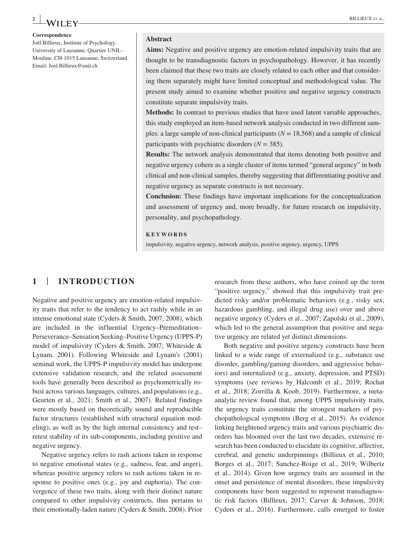# **<sup>2</sup> <sup>|</sup>** BILLIEUX et al.

**Correspondence** Joël Billieux, Institute of Psychology, University of Lausanne, Quartier UNIL-Mouline. CH-1015 Lausanne, Switzerland. Email: [Joel.Billieux@unil.ch](mailto:Joel.Billieux@unil.ch)

#### **Abstract**

**Aims:** Negative and positive urgency are emotion-related impulsivity traits that are thought to be transdiagnostic factors in psychopathology. However, it has recently been claimed that these two traits are closely related to each other and that considering them separately might have limited conceptual and methodological value. The present study aimed to examine whether positive and negative urgency constructs constitute separate impulsivity traits.

**Methods:** In contrast to previous studies that have used latent variable approaches, this study employed an item-based network analysis conducted in two different samples: a large sample of non-clinical participants  $(N = 18,568)$  and a sample of clinical participants with psychiatric disorders  $(N = 385)$ .

**Results:** The network analysis demonstrated that items denoting both positive and negative urgency cohere as a single cluster of items termed "general urgency" in both clinical and non-clinical samples, thereby suggesting that differentiating positive and negative urgency as separate constructs is not necessary.

**Conclusion:** These findings have important implications for the conceptualization and assessment of urgency and, more broadly, for future research on impulsivity, personality, and psychopathology.

#### **KEYWORDS**

impulsivity, negative urgency, network analysis, positive urgency, urgency, UPPS

# **1** | **INTRODUCTION**

Negative and positive urgency are emotion-related impulsivity traits that refer to the tendency to act rashly while in an intense emotional state (Cyders & Smith, 2007, 2008), which are included in the influential Urgency–Premeditation– Perseverance–Sensation Seeking–Positive Urgency (UPPS-P) model of impulsivity (Cyders & Smith, 2007; Whiteside & Lynam, 2001). Following Whiteside and Lynam's (2001) seminal work, the UPPS-P impulsivity model has undergone extensive validation research, and the related assessment tools have generally been described as psychometrically robust across various languages, cultures, and populations (e.g., Geurten et al., 2021; Smith et al., 2007). Related findings were mostly based on theoretically sound and reproducible factor structures (established with structural equation modeling), as well as by the high internal consistency and test– retest stability of its sub-components, including positive and negative urgency.

Negative urgency refers to rash actions taken in response to negative emotional states (e.g., sadness, fear, and anger), whereas positive urgency refers to rash actions taken in response to positive ones (e.g., joy and euphoria). The convergence of these two traits, along with their distinct nature compared to other impulsivity constructs, thus pertains to their emotionally-laden nature (Cyders & Smith, 2008). Prior

research from these authors, who have coined up the term "positive urgency," showed that this impulsivity trait predicted risky and/or problematic behaviors (e.g., risky sex, hazardous gambling, and illegal drug use) over and above negative urgency (Cyders et al., 2007; Zapolski et al., 2009), which led to the general assumption that positive and negative urgency are related yet distinct dimensions.

Both negative and positive urgency constructs have been linked to a wide range of externalized (e.g., substance use disorder, gambling/gaming disorders, and aggressive behaviors) and internalized (e.g., anxiety, depression, and PTSD) symptoms (see reviews by Halcomb et al., 2019; Rochat et al., 2018; Zorrilla & Koob, 2019). Furthermore, a metaanalytic review found that, among UPPS impulsivity traits, the urgency traits constitute the strongest markers of psychopathological symptoms (Berg et al., 2015). As evidence linking heightened urgency traits and various psychiatric disorders has bloomed over the last two decades, extensive research has been conducted to elucidate its cognitive, affective, cerebral, and genetic underpinnings (Billieux et al., 2010; Borges et al., 2017; Sanchez-Roige et al., 2019; Wilbertz et al., 2014). Given how urgency traits are assumed in the onset and persistence of mental disorders, these impulsivity components have been suggested to represent transdiagnostic risk factors (Billieux, 2017; Carver & Johnson, 2018; Cyders et al., 2016). Furthermore, calls emerged to foster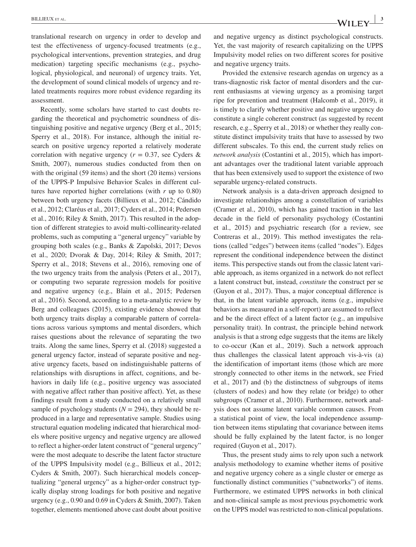translational research on urgency in order to develop and test the effectiveness of urgency-focused treatments (e.g., psychological interventions, prevention strategies, and drug medication) targeting specific mechanisms (e.g., psychological, physiological, and neuronal) of urgency traits. Yet, the development of sound clinical models of urgency and related treatments requires more robust evidence regarding its assessment.

Recently, some scholars have started to cast doubts regarding the theoretical and psychometric soundness of distinguishing positive and negative urgency (Berg et al., 2015; Sperry et al., 2018). For instance, although the initial research on positive urgency reported a relatively moderate correlation with negative urgency ( $r = 0.37$ , see Cyders & Smith, 2007), numerous studies conducted from then on with the original (59 items) and the short (20 items) versions of the UPPS-P Impulsive Behavior Scales in different cultures have reported higher correlations (with *r* up to 0.80) between both urgency facets (Billieux et al., 2012; Cándido et al., 2012; Claréus et al., 2017; Cyders et al., 2014; Pedersen et al., 2016; Riley & Smith, 2017). This resulted in the adoption of different strategies to avoid multi-collinearity-related problems, such as computing a "general urgency" variable by grouping both scales (e.g., Banks & Zapolski, 2017; Devos et al., 2020; Dvorak & Day, 2014; Riley & Smith, 2017; Sperry et al., 2018; Stevens et al., 2016), removing one of the two urgency traits from the analysis (Peters et al., 2017), or computing two separate regression models for positive and negative urgency (e.g., Blain et al., 2015; Pedersen et al., 2016). Second, according to a meta-analytic review by Berg and colleagues (2015), existing evidence showed that both urgency traits display a comparable pattern of correlations across various symptoms and mental disorders, which raises questions about the relevance of separating the two traits. Along the same lines, Sperry et al. (2018) suggested a general urgency factor, instead of separate positive and negative urgency facets, based on indistinguishable patterns of relationships with disruptions in affect, cognitions, and behaviors in daily life (e.g., positive urgency was associated with negative affect rather than positive affect). Yet, as these findings result from a study conducted on a relatively small sample of psychology students  $(N = 294)$ , they should be reproduced in a large and representative sample. Studies using structural equation modeling indicated that hierarchical models where positive urgency and negative urgency are allowed to reflect a higher-order latent construct of "general urgency" were the most adequate to describe the latent factor structure of the UPPS Impulsivity model (e.g., Billieux et al., 2012; Cyders & Smith, 2007). Such hierarchical models conceptualizing "general urgency" as a higher-order construct typically display strong loadings for both positive and negative urgency (e.g., 0.90 and 0.69 in Cyders & Smith, 2007). Taken together, elements mentioned above cast doubt about positive

and negative urgency as distinct psychological constructs. Yet, the vast majority of research capitalizing on the UPPS Impulsivity model relies on two different scores for positive and negative urgency traits.

Provided the extensive research agendas on urgency as a trans-diagnostic risk factor of mental disorders and the current enthusiasms at viewing urgency as a promising target ripe for prevention and treatment (Halcomb et al., 2019), it is timely to clarify whether positive and negative urgency do constitute a single coherent construct (as suggested by recent research, e.g., Sperry et al., 2018) or whether they really constitute distinct impulsivity traits that have to assessed by two different subscales. To this end, the current study relies on *network analysis* (Costantini et al., 2015), which has important advantages over the traditional latent variable approach that has been extensively used to support the existence of two separable urgency-related constructs.

Network analysis is a data-driven approach designed to investigate relationships among a constellation of variables (Cramer et al., 2010), which has gained traction in the last decade in the field of personality psychology (Costantini et al., 2015) and psychiatric research (for a review, see Contreras et al., 2019). This method investigates the relations (called "edges") between items (called "nodes"). Edges represent the conditional independence between the distinct items. This perspective stands out from the classic latent variable approach, as items organized in a network do not reflect a latent construct but, instead, *constitute* the construct per se (Guyon et al., 2017). Thus, a major conceptual difference is that, in the latent variable approach, items (e.g., impulsive behaviors as measured in a self-report) are assumed to reflect and be the direct effect of a latent factor (e.g., an impulsive personality trait). In contrast, the principle behind network analysis is that a strong edge suggests that the items are likely to co-occur (Kan et al., 2019). Such a network approach thus challenges the classical latent approach vis-à-vis (a) the identification of important items (those which are more strongly connected to other items in the network, see Fried et al., 2017) and (b) the distinctness of subgroups of items (clusters of nodes) and how they relate (or bridge) to other subgroups (Cramer et al., 2010). Furthermore, network analysis does not assume latent variable common causes. From a statistical point of view, the local independence assumption between items stipulating that covariance between items should be fully explained by the latent factor, is no longer required (Guyon et al., 2017).

Thus, the present study aims to rely upon such a network analysis methodology to examine whether items of positive and negative urgency cohere as a single cluster or emerge as functionally distinct communities ("subnetworks") of items. Furthermore, we estimated UPPS networks in both clinical and non-clinical sample as most previous psychometric work on the UPPS model was restricted to non-clinical populations.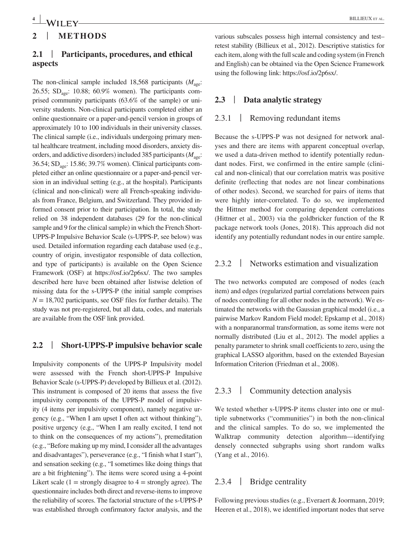# **2** | **METHODS**

# **2.1** | **Participants, procedures, and ethical aspects**

The non-clinical sample included 18,568 participants  $(M<sub>age</sub>)$ : 26.55;  $SD<sub>age</sub>$ : 10.88; 60.9% women). The participants comprised community participants (63.6% of the sample) or university students. Non-clinical participants completed either an online questionnaire or a paper-and-pencil version in groups of approximately 10 to 100 individuals in their university classes. The clinical sample (i.e., individuals undergoing primary mental healthcare treatment, including mood disorders, anxiety disorders, and addictive disorders) included 385 participants  $(M_{\text{acc}})$ : 36.54; SDage: 15.86; 39.7% women). Clinical participants completed either an online questionnaire or a paper-and-pencil version in an individual setting (e.g., at the hospital). Participants (clinical and non-clinical) were all French-speaking individuals from France, Belgium, and Switzerland. They provided informed consent prior to their participation. In total, the study relied on 38 independent databases (29 for the non-clinical sample and 9 for the clinical sample) in which the French Short-UPPS-P Impulsive Behavior Scale (s-UPPS-P, see below) was used. Detailed information regarding each database used (e.g., country of origin, investigator responsible of data collection, and type of participants) is available on the Open Science Framework (OSF) at [https://osf.io/2p6sx/.](https://osf.io/2p6sx/) The two samples described here have been obtained after listwise deletion of missing data for the s-UPPS-P (the initial sample comprises  $N = 18,702$  participants, see OSF files for further details). The study was not pre-registered, but all data, codes, and materials are available from the OSF link provided.

## **2.2** | **Short-UPPS-P impulsive behavior scale**

Impulsivity components of the UPPS-P Impulsivity model were assessed with the French short-UPPS-P Impulsive Behavior Scale (s-UPPS-P) developed by Billieux et al. (2012). This instrument is composed of 20 items that assess the five impulsivity components of the UPPS-P model of impulsivity (4 items per impulsivity component), namely negative urgency (e.g., "When I am upset I often act without thinking"), positive urgency (e.g., "When I am really excited, I tend not to think on the consequences of my actions"), premeditation (e.g., "Before making up my mind, I consider all the advantages and disadvantages"), perseverance (e.g., "I finish what I start"), and sensation seeking (e.g., "I sometimes like doing things that are a bit frightening"). The items were scored using a 4-point Likert scale  $(1 =$  strongly disagree to  $4 =$  strongly agree). The questionnaire includes both direct and reverse-items to improve the reliability of scores. The factorial structure of the s-UPPS-P was established through confirmatory factor analysis, and the various subscales possess high internal consistency and test– retest stability (Billieux et al., 2012). Descriptive statistics for each item, along with the full scale and coding system (in French and English) can be obtained via the Open Science Framework using the following link: <https://osf.io/2p6sx/>.

## **2.3** | **Data analytic strategy**

#### 2.3.1 | Removing redundant items

Because the s-UPPS-P was not designed for network analyses and there are items with apparent conceptual overlap, we used a data-driven method to identify potentially redundant nodes. First, we confirmed in the entire sample (clinical and non-clinical) that our correlation matrix was positive definite (reflecting that nodes are not linear combinations of other nodes). Second, we searched for pairs of items that were highly inter-correlated. To do so, we implemented the Hittner method for comparing dependent correlations (Hittner et al., 2003) via the goldbricker function of the R package network tools (Jones, 2018). This approach did not identify any potentially redundant nodes in our entire sample.

## 2.3.2 | Networks estimation and visualization

The two networks computed are composed of nodes (each item) and edges (regularized partial correlations between pairs of nodes controlling for all other nodes in the network). We estimated the networks with the Gaussian graphical model (i.e., a pairwise Markov Random Field model; Epskamp et al., 2018) with a nonparanormal transformation, as some items were not normally distributed (Liu et al., 2012). The model applies a penalty parameter to shrink small coefficients to zero, using the graphical LASSO algorithm, based on the extended Bayesian Information Criterion (Friedman et al., 2008).

## 2.3.3 | Community detection analysis

We tested whether s-UPPS-P items cluster into one or multiple subnetworks ("communities") in both the non-clinical and the clinical samples. To do so, we implemented the Walktrap community detection algorithm—identifying densely connected subgraphs using short random walks (Yang et al., 2016).

# 2.3.4 | Bridge centrality

Following previous studies (e.g., Everaert & Joormann, 2019; Heeren et al., 2018), we identified important nodes that serve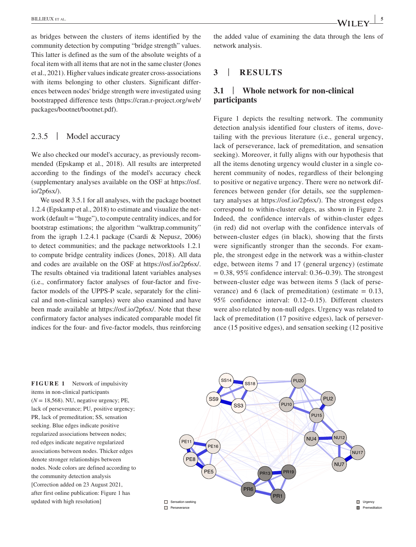as bridges between the clusters of items identified by the community detection by computing "bridge strength" values. This latter is defined as the sum of the absolute weights of a focal item with all items that are not in the same cluster (Jones et al., 2021). Higher values indicate greater cross-associations with items belonging to other clusters. Significant differences between nodes' bridge strength were investigated using bootstrapped difference tests ([https://cran.r-project.org/web/](https://cran.r-project.org/web/packages/bootnet/bootnet.pdf) [packages/bootnet/bootnet.pdf\)](https://cran.r-project.org/web/packages/bootnet/bootnet.pdf).

## 2.3.5 | Model accuracy

We also checked our model's accuracy, as previously recommended (Epskamp et al., 2018). All results are interpreted according to the findings of the model's accuracy check (supplementary analyses available on the OSF at [https://osf.](https://osf.io/2p6sx/) [io/2p6sx/](https://osf.io/2p6sx/)).

We used R 3.5.1 for all analyses, with the package bootnet 1.2.4 (Epskamp et al., 2018) to estimate and visualize the network (default = "huge"), to compute centrality indices, and for bootstrap estimations; the algorithm "walktrap.community" from the igraph 1.2.4.1 package (Csardi & Nepusz, 2006) to detect communities; and the package networktools 1.2.1 to compute bridge centrality indices (Jones, 2018). All data and codes are available on the OSF at <https://osf.io/2p6sx/>. The results obtained via traditional latent variables analyses (i.e., confirmatory factor analyses of four-factor and fivefactor models of the UPPS-P scale, separately for the clinical and non-clinical samples) were also examined and have been made available at [https://osf.io/2p6sx/.](https://osf.io/2p6sx/) Note that these confirmatory factor analyses indicated comparable model fit indices for the four- and five-factor models, thus reinforcing

the added value of examining the data through the lens of network analysis.

# **3** | **RESULTS**

# **3.1** | **Whole network for non-clinical participants**

Figure 1 depicts the resulting network. The community detection analysis identified four clusters of items, dovetailing with the previous literature (i.e., general urgency, lack of perseverance, lack of premeditation, and sensation seeking). Moreover, it fully aligns with our hypothesis that all the items denoting urgency would cluster in a single coherent community of nodes, regardless of their belonging to positive or negative urgency. There were no network differences between gender (for details, see the supplementary analyses at <https://osf.io/2p6sx/>). The strongest edges correspond to within-cluster edges, as shown in Figure 2. Indeed, the confidence intervals of within-cluster edges (in red) did not overlap with the confidence intervals of between-cluster edges (in black), showing that the firsts were significantly stronger than the seconds. For example, the strongest edge in the network was a within-cluster edge, between items 7 and 17 (general urgency) (estimate  $= 0.38, 95\%$  confidence interval: 0.36–0.39). The strongest between-cluster edge was between items 5 (lack of perseverance) and 6 (lack of premeditation) (estimate  $= 0.13$ , 95% confidence interval: 0.12–0.15). Different clusters were also related by non-null edges. Urgency was related to lack of premeditation (17 positive edges), lack of perseverance (15 positive edges), and sensation seeking (12 positive

**FIGURE 1** Network of impulsivity items in non-clinical participants  $(N = 18,568)$ . NU, negative urgency; PE, lack of perseverance; PU, positive urgency; PR, lack of premeditation; SS, sensation seeking. Blue edges indicate positive regularized associations between nodes; red edges indicate negative regularized associations between nodes. Thicker edges denote stronger relationships between nodes. Node colors are defined according to the community detection analysis [Correction added on 23 August 2021, after first online publication: Figure 1 has updated with high resolution]

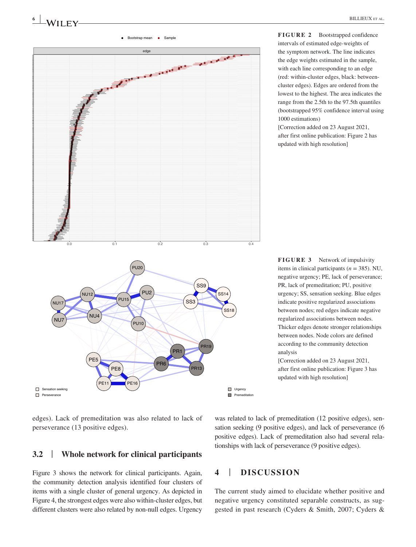

**FIGURE 2** Bootstrapped confidence intervals of estimated edge-weights of the symptom network. The line indicates the edge weights estimated in the sample, with each line corresponding to an edge (red: within-cluster edges, black: betweencluster edges). Edges are ordered from the lowest to the highest. The area indicates the range from the 2.5th to the 97.5th quantiles (bootstrapped 95% confidence interval using 1000 estimations)

[Correction added on 23 August 2021, after first online publication: Figure 2 has updated with high resolution]

**FIGURE 3** Network of impulsivity items in clinical participants (*n* = 385). NU, negative urgency; PE, lack of perseverance; PR, lack of premeditation; PU, positive urgency; SS, sensation seeking. Blue edges indicate positive regularized associations between nodes; red edges indicate negative regularized associations between nodes. Thicker edges denote stronger relationships between nodes. Node colors are defined according to the community detection analysis

[Correction added on 23 August 2021, after first online publication: Figure 3 has updated with high resolution]

edges). Lack of premeditation was also related to lack of perseverance (13 positive edges).

## **3.2** | **Whole network for clinical participants**

Figure 3 shows the network for clinical participants. Again, the community detection analysis identified four clusters of items with a single cluster of general urgency. As depicted in Figure 4, the strongest edges were also within-cluster edges, but different clusters were also related by non-null edges. Urgency was related to lack of premeditation (12 positive edges), sensation seeking (9 positive edges), and lack of perseverance (6 positive edges). Lack of premeditation also had several relationships with lack of perseverance (9 positive edges).

## **4** | **DISCUSSION**

The current study aimed to elucidate whether positive and negative urgency constituted separable constructs, as suggested in past research (Cyders & Smith, 2007; Cyders &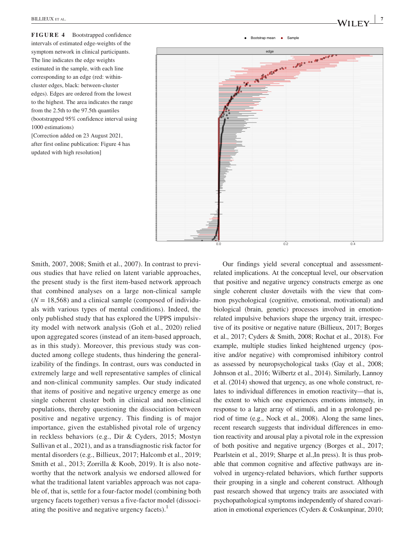**FIGURE 4** Bootstrapped confidence intervals of estimated edge-weights of the symptom network in clinical participants. The line indicates the edge weights estimated in the sample, with each line corresponding to an edge (red: withincluster edges, black: between-cluster edges). Edges are ordered from the lowest to the highest. The area indicates the range from the 2.5th to the 97.5th quantiles (bootstrapped 95% confidence interval using 1000 estimations)

[Correction added on 23 August 2021, after first online publication: Figure 4 has updated with high resolution]



Smith, 2007, 2008; Smith et al., 2007). In contrast to previous studies that have relied on latent variable approaches, the present study is the first item-based network approach that combined analyses on a large non-clinical sample  $(N = 18,568)$  and a clinical sample (composed of individuals with various types of mental conditions). Indeed, the only published study that has explored the UPPS impulsivity model with network analysis (Goh et al., 2020) relied upon aggregated scores (instead of an item-based approach, as in this study). Moreover, this previous study was conducted among college students, thus hindering the generalizability of the findings. In contrast, ours was conducted in extremely large and well representative samples of clinical and non-clinical community samples. Our study indicated that items of positive and negative urgency emerge as one single coherent cluster both in clinical and non-clinical populations, thereby questioning the dissociation between positive and negative urgency. This finding is of major importance, given the established pivotal role of urgency in reckless behaviors (e.g., Dir & Cyders, 2015; Mostyn Sullivan et al., 2021), and as a transdiagnostic risk factor for mental disorders (e.g., Billieux, 2017; Halcomb et al., 2019; Smith et al., 2013; Zorrilla & Koob, 2019). It is also noteworthy that the network analysis we endorsed allowed for what the traditional latent variables approach was not capable of, that is, settle for a four-factor model (combining both urgency facets together) versus a five-factor model (dissociating the positive and negative urgency facets). $<sup>1</sup>$ </sup>

Our findings yield several conceptual and assessmentrelated implications. At the conceptual level, our observation that positive and negative urgency constructs emerge as one single coherent cluster dovetails with the view that common psychological (cognitive, emotional, motivational) and biological (brain, genetic) processes involved in emotionrelated impulsive behaviors shape the urgency trait, irrespective of its positive or negative nature (Billieux, 2017; Borges et al., 2017; Cyders & Smith, 2008; Rochat et al., 2018). For example, multiple studies linked heightened urgency (positive and/or negative) with compromised inhibitory control as assessed by neuropsychological tasks (Gay et al., 2008; Johnson et al., 2016; Wilbertz et al., 2014). Similarly, Lannoy et al. (2014) showed that urgency, as one whole construct, relates to individual differences in emotion reactivity—that is, the extent to which one experiences emotions intensely, in response to a large array of stimuli, and in a prolonged period of time (e.g., Nock et al., 2008). Along the same lines, recent research suggests that individual differences in emotion reactivity and arousal play a pivotal role in the expression of both positive and negative urgency (Borges et al., 2017; Pearlstein et al., 2019; Sharpe et al.,In press). It is thus probable that common cognitive and affective pathways are involved in urgency-related behaviors, which further supports their grouping in a single and coherent construct. Although past research showed that urgency traits are associated with psychopathological symptoms independently of shared covariation in emotional experiences (Cyders & Coskunpinar, 2010;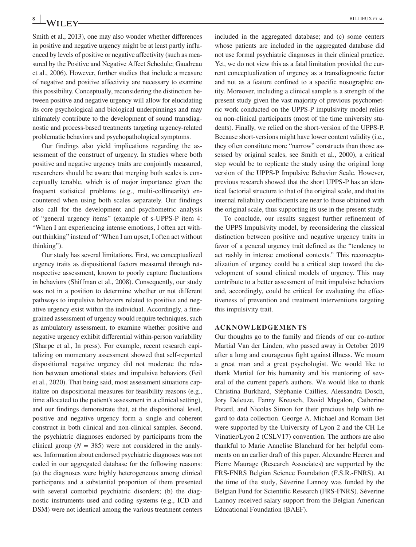Smith et al., 2013), one may also wonder whether differences in positive and negative urgency might be at least partly influenced by levels of positive or negative affectivity (such as measured by the Positive and Negative Affect Schedule; Gaudreau et al., 2006). However, further studies that include a measure of negative and positive affectivity are necessary to examine this possibility. Conceptually, reconsidering the distinction between positive and negative urgency will allow for elucidating its core psychological and biological underpinnings and may ultimately contribute to the development of sound transdiagnostic and process-based treatments targeting urgency-related problematic behaviors and psychopathological symptoms.

Our findings also yield implications regarding the assessment of the construct of urgency. In studies where both positive and negative urgency traits are conjointly measured, researchers should be aware that merging both scales is conceptually tenable, which is of major importance given the frequent statistical problems (e.g., multi-collinearity) encountered when using both scales separately. Our findings also call for the development and psychometric analysis of "general urgency items" (example of s-UPPS-P item 4: "When I am experiencing intense emotions, I often act without thinking" instead of "When I am upset, I often act without thinking").

Our study has several limitations. First, we conceptualized urgency traits as dispositional factors measured through retrospective assessment, known to poorly capture fluctuations in behaviors (Shiffman et al., 2008). Consequently, our study was not in a position to determine whether or not different pathways to impulsive behaviors related to positive and negative urgency exist within the individual. Accordingly, a finegrained assessment of urgency would require techniques, such as ambulatory assessment, to examine whether positive and negative urgency exhibit differential within-person variability (Sharpe et al., In press). For example, recent research capitalizing on momentary assessment showed that self-reported dispositional negative urgency did not moderate the relation between emotional states and impulsive behaviors (Feil et al., 2020). That being said, most assessment situations capitalize on dispositional measures for feasibility reasons (e.g., time allocated to the patient's assessment in a clinical setting), and our findings demonstrate that, at the dispositional level, positive and negative urgency form a single and coherent construct in both clinical and non-clinical samples. Second, the psychiatric diagnoses endorsed by participants from the clinical group ( $N = 385$ ) were not considered in the analyses. Information about endorsed psychiatric diagnoses was not coded in our aggregated database for the following reasons: (a) the diagnoses were highly heterogeneous among clinical participants and a substantial proportion of them presented with several comorbid psychiatric disorders; (b) the diagnostic instruments used and coding systems (e.g., ICD and DSM) were not identical among the various treatment centers

included in the aggregated database; and (c) some centers whose patients are included in the aggregated database did not use formal psychiatric diagnoses in their clinical practice. Yet, we do not view this as a fatal limitation provided the current conceptualization of urgency as a transdiagnostic factor and not as a feature confined to a specific nosographic entity. Moreover, including a clinical sample is a strength of the present study given the vast majority of previous psychometric work conducted on the UPPS-P impulsivity model relies on non-clinical participants (most of the time university students). Finally, we relied on the short-version of the UPPS-P. Because short-versions might have lower content validity (i.e., they often constitute more "narrow" constructs than those assessed by original scales, see Smith et al., 2000), a critical step would be to replicate the study using the original long version of the UPPS-P Impulsive Behavior Scale. However, previous research showed that the short UPPS-P has an identical factorial structure to that of the original scale, and that its internal reliability coefficients are near to those obtained with the original scale, thus supporting its use in the present study.

To conclude, our results suggest further refinement of the UPPS Impulsivity model, by reconsidering the classical distinction between positive and negative urgency traits in favor of a general urgency trait defined as the "tendency to act rashly in intense emotional contexts." This reconceptualization of urgency could be a critical step toward the development of sound clinical models of urgency. This may contribute to a better assessment of trait impulsive behaviors and, accordingly, could be critical for evaluating the effectiveness of prevention and treatment interventions targeting this impulsivity trait.

#### **ACKNOWLEDGEMENTS**

Our thoughts go to the family and friends of our co-author Martial Van der Linden, who passed away in October 2019 after a long and courageous fight against illness. We mourn a great man and a great psychologist. We would like to thank Martial for his humanity and his mentoring of several of the current paper's authors. We would like to thank Christina Burkhard, Stéphanie Caillies, Alessandra Dosch, Jory Deleuze, Fanny Kreusch, David Magalon, Catherine Potard, and Nicolas Simon for their precious help with regard to data collection. George A. Michael and Romain Bet were supported by the University of Lyon 2 and the CH Le Vinatier/Lyon 2 (CSLV17) convention. The authors are also thankful to Marie Annelise Blanchard for her helpful comments on an earlier draft of this paper. Alexandre Heeren and Pierre Maurage (Research Associates) are supported by the FRS-FNRS Belgian Science Foundation (F.S.R.-FNRS). At the time of the study, Séverine Lannoy was funded by the Belgian Fund for Scientific Research (FRS-FNRS). Séverine Lannoy received salary support from the Belgian American Educational Foundation (BAEF).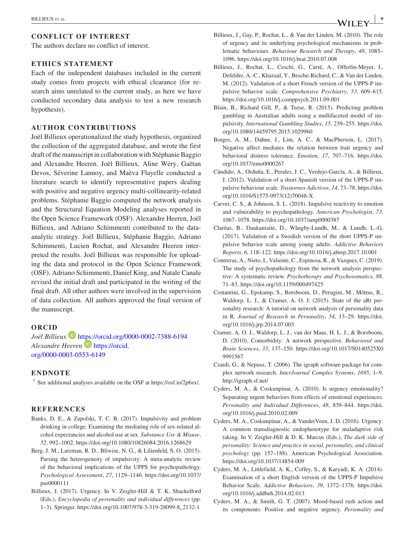## **CONFLICT OF INTEREST**

The authors declare no conflict of interest.

#### **ETHICS STATEMENT**

Each of the independent databases included in the current study comes from projects with ethical clearance (for research aims unrelated to the current study, as here we have conducted secondary data analysis to test a new research hypothesis).

#### **AUTHOR CONTRIBUTIONS**

Joël Billieux operationalized the study hypothesis, organized the collection of the aggregated database, and wrote the first draft of the manuscript in collaboration with Stéphanie Baggio and Alexandre Heeren. Joël Billieux, Aline Wéry, Gaëtan Devos, Séverine Lannoy, and Maèva Flayelle conducted a literature search to identify representative papers dealing with positive and negative urgency multi-collinearity-related problems. Stéphanie Baggio computed the network analysis and the Structural Equation Modeling analyses reported in the Open Science Framework (OSF). Alexandre Heeren, Joël Billieux, and Adriano Schimmenti contributed to the dataanalytic strategy. Joël Billieux, Stéphanie Baggio, Adriano Schimmenti, Lucien Rochat, and Alexandre Heeren interpreted the results. Joël Billieux was responsible for uploading the data and protocol in the Open Science Framework (OSF). Adriano Schimmenti, Daniel King, and Natale Canale revised the initial draft and participated in the writing of the final draft. All other authors were involved in the supervision of data collection. All authors approved the final version of the manuscript.

#### **ORCID**

*Joël Billieux* <https://orcid.org/0000-0002-7388-6194> *Alexandre Heeren* [https://orcid.](https://orcid.org/0000-0003-0553-6149) [org/0000-0003-0553-6149](https://orcid.org/0000-0003-0553-6149)

## **ENDNOTE**

<sup>1</sup> See additional analyses available on the OSF at<https://osf.io/2p6sx/>.

#### **REFERENCES**

- Banks, D. E., & Zapolski, T. C. B. (2017). Impulsivity and problem drinking in college: Examining the mediating role of sex-related alcohol expectancies and alcohol use at sex. *Substance Use & Misuse*, *52*, 992–1002. <https://doi.org/10.1080/10826084.2016.1268629>
- Berg, J. M., Latzman, R. D., Bliwise, N. G., & Lilienfeld, S. O. (2015). Parsing the heterogeneity of impulsivity: A meta-analytic review of the behavioral implications of the UPPS for psychopathology. *Psychological Assessment*, *27*, 1129–1146. [https://doi.org/10.1037/](https://doi.org/10.1037/pas0000111) [pas0000111](https://doi.org/10.1037/pas0000111)
- Billieux, J. (2017). Urgency. In V. Zeigler-Hill & T. K. Shackelford (Eds.), *Encyclopedia of personality and individual differences* (pp. 1–3). Springer. [https://doi.org/10.1007/978-3-319-28099-8\\_2132-1](https://doi.org/10.1007/978-3-319-28099-8_2132-1)
- Billieux, J., Gay, P., Rochat, L., & Van der Linden, M. (2010). The role of urgency and its underlying psychological mechanisms in problematic behaviours. *Behaviour Research and Therapy*, *48*, 1085– 1096.<https://doi.org/10.1016/j.brat.2010.07.008>
- Billieux, J., Rochat, L., Ceschi, G., Carré, A., Offerlin-Meyer, I., Defeldre, A.-C., Khazaal, Y., Besche-Richard, C., & Van der Linden, M. (2012). Validation of a short French version of the UPPS-P impulsive behavior scale. *Comprehensive Psychiatry*, *53*, 609–615. <https://doi.org/10.1016/j.comppsych.2011.09.001>
- Blain, B., Richard Gill, P., & Teese, R. (2015). Predicting problem gambling in Australian adults using a multifaceted model of impulsivity. *International Gambling Studies*, *15*, 239–255. [https://doi.](https://doi.org/10.1080/14459795.2015.1029960) [org/10.1080/14459795.2015.1029960](https://doi.org/10.1080/14459795.2015.1029960)
- Borges, A. M., Dahne, J., Lim, A. C., & MacPherson, L. (2017). Negative affect mediates the relation between trait urgency and behavioral distress tolerance. *Emotion*, *17*, 707–716. [https://doi.](https://doi.org/10.1037/emo0000267) [org/10.1037/emo0000267](https://doi.org/10.1037/emo0000267)
- Cándido, A., Orduña, E., Perales, J. C., Verdejo-García, A., & Billieux, J. (2012). Validation of a short Spanish version of the UPPS-P impulsive behaviour scale. *Trastornos Adictivos*, *14*, 73–78. [https://doi.](https://doi.org/10.1016/S1575-0973(12)70048-X) [org/10.1016/S1575-0973\(12\)70048-X](https://doi.org/10.1016/S1575-0973(12)70048-X)
- Carver, C. S., & Johnson, S. L. (2018). Impulsive reactivity to emotion and vulnerability to psychopathology. *American Psychologist*, *73*, 1067–1078.<https://doi.org/10.1037/amp0000387>
- Claréus, B., Daukantaitė, D., Wångby-Lundh, M., & Lundh, L.-G. (2017). Validation of a Swedish version of the short UPPS-P impulsive behavior scale among young adults. *Addictive Behaviors Reports*, *6*, 118–122.<https://doi.org/10.1016/j.abrep.2017.10.001>
- Contreras, A., Nieto, I., Valiente, C., Espinosa, R., & Vazquez, C. (2019). The study of psychopathology from the network analysis perspective: A systematic review. *Psychotherapy and Psychosomatics*, *88*, 71–83.<https://doi.org/10.1159/000497425>
- Costantini, G., Epskamp, S., Borsboom, D., Perugini, M., Mõttus, R., Waldorp, L. J., & Cramer, A. O. J. (2015). State of the aRt personality research: A tutorial on network analysis of personality data in R. *Journal of Research in Personality*, *54*, 13–29. [https://doi.](https://doi.org/10.1016/j.jrp.2014.07.003) [org/10.1016/j.jrp.2014.07.003](https://doi.org/10.1016/j.jrp.2014.07.003)
- Cramer, A. O. J., Waldorp, L. J., van der Maas, H. L. J., & Borsboom, D. (2010). Comorbidity: A network perspective. *Behavioral and Brain Sciences*, *33*, 137–150. [https://doi.org/10.1017/S0140525X0](https://doi.org/10.1017/S0140525X09991567) [9991567](https://doi.org/10.1017/S0140525X09991567)
- Csardi, G., & Nepusz, T. (2006). The igraph software package for complex network research. *InterJournal Complex Systems*, *1695*, 1–9. <http://igraph.sf.net/>
- Cyders, M. A., & Coskunpinar, A. (2010). Is urgency emotionality? Separating urgent behaviors from effects of emotional experiences. *Personality and Individual Differences*, *48*, 839–844. [https://doi.](https://doi.org/10.1016/j.paid.2010.02.009) [org/10.1016/j.paid.2010.02.009](https://doi.org/10.1016/j.paid.2010.02.009)
- Cyders, M. A., Coskunpinar, A., & VanderVeen, J. D. (2016). Urgency: A common transdiagnostic endophenotype for maladaptive risk taking. In V. Zeigler-Hill & D. K. Marcus (Eds.), *The dark side of personality: Science and practice in social, personality, and clinical psychology* (pp. 157–188). American Psychological Association. <https://doi.org/10.1037/14854-009>
- Cyders, M. A., Littlefield, A. K., Coffey, S., & Karyadi, K. A. (2014). Examination of a short English version of the UPPS-P Impulsive Behavior Scale. *Addictive Behaviors*, *39*, 1372–1376. [https://doi.](https://doi.org/10.1016/j.addbeh.2014.02.013) [org/10.1016/j.addbeh.2014.02.013](https://doi.org/10.1016/j.addbeh.2014.02.013)
- Cyders, M. A., & Smith, G. T. (2007). Mood-based rash action and its components: Positive and negative urgency. *Personality and*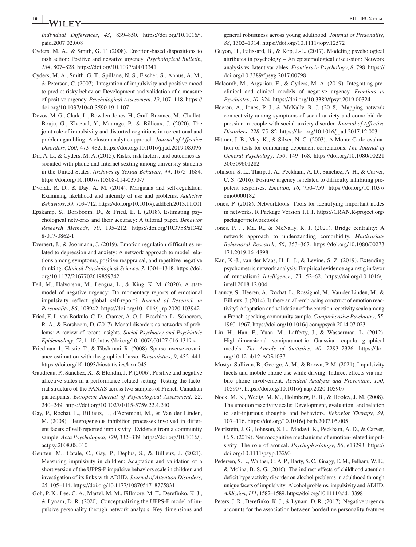# **<sup>10</sup> <sup>|</sup>** BILLIEUX et al.

*Individual Differences*, *43*, 839–850. [https://doi.org/10.1016/j.](https://doi.org/10.1016/j.paid.2007.02.008) [paid.2007.02.008](https://doi.org/10.1016/j.paid.2007.02.008)

- Cyders, M. A., & Smith, G. T. (2008). Emotion-based dispositions to rash action: Positive and negative urgency. *Psychological Bulletin*, *134*, 807–828.<https://doi.org/10.1037/a0013341>
- Cyders, M. A., Smith, G. T., Spillane, N. S., Fischer, S., Annus, A. M., & Peterson, C. (2007). Integration of impulsivity and positive mood to predict risky behavior: Development and validation of a measure of positive urgency. *Psychological Assessment*, *19*, 107–118. [https://](https://doi.org/10.1037/1040-3590.19.1.107) [doi.org/10.1037/1040-3590.19.1.107](https://doi.org/10.1037/1040-3590.19.1.107)
- Devos, M. G., Clark, L., Bowden-Jones, H., Grall-Bronnec, M., Challet-Bouju, G., Khazaal, Y., Maurage, P., & Billieux, J. (2020). The joint role of impulsivity and distorted cognitions in recreational and problem gambling: A cluster analytic approach. *Journal of Affective Disorders*, *260*, 473–482.<https://doi.org/10.1016/j.jad.2019.08.096>
- Dir, A. L., & Cyders, M. A. (2015). Risks, risk factors, and outcomes associated with phone and Internet sexting among university students in the United States. *Archives of Sexual Behavior*, *44*, 1675–1684. <https://doi.org/10.1007/s10508-014-0370-7>
- Dvorak, R. D., & Day, A. M. (2014). Marijuana and self-regulation: Examining likelihood and intensity of use and problems. *Addictive Behaviors*, *39*, 709–712.<https://doi.org/10.1016/j.addbeh.2013.11.001>
- Epskamp, S., Borsboom, D., & Fried, E. I. (2018). Estimating psychological networks and their accuracy: A tutorial paper. *Behavior Research Methods*, *50*, 195–212. [https://doi.org/10.3758/s1342](https://doi.org/10.3758/s13428-017-0862-1) [8-017-0862-1](https://doi.org/10.3758/s13428-017-0862-1)
- Everaert, J., & Joormann, J. (2019). Emotion regulation difficulties related to depression and anxiety: A network approach to model relations among symptoms, positive reappraisal, and repetitive negative thinking. *Clinical Psychological Science*, *7*, 1304–1318. [https://doi.](https://doi.org/10.1177/2167702619859342) [org/10.1177/2167702619859342](https://doi.org/10.1177/2167702619859342)
- Feil, M., Halvorson, M., Lengua, L., & King, K. M. (2020). A state model of negative urgency: Do momentary reports of emotional impulsivity reflect global self-report? *Journal of Research in Personality*, *86*, 103942. <https://doi.org/10.1016/j.jrp.2020.103942>
- Fried, E. I., van Borkulo, C. D., Cramer, A. O. J., Boschloo, L., Schoevers, R. A., & Borsboom, D. (2017). Mental disorders as networks of problems: A review of recent insights. *Social Psychiatry and Psychiatric Epidemiology*, *52*, 1–10. <https://doi.org/10.1007/s00127-016-1319-z>
- Friedman, J., Hastie, T., & Tibshirani, R. (2008). Sparse inverse covariance estimation with the graphical lasso. *Biostatistics*, *9*, 432–441. <https://doi.org/10.1093/biostatistics/kxm045>
- Gaudreau, P., Sanchez, X., & Blondin, J. P. (2006). Positive and negative affective states in a performance-related setting: Testing the factorial structure of the PANAS across two samples of French-Canadian participants. *European Journal of Psychological Assessment*, *22*, 240–249.<https://doi.org/10.1027/1015-5759.22.4.240>
- Gay, P., Rochat, L., Billieux, J., d'Acremont, M., & Van der Linden, M. (2008). Heterogeneous inhibition processes involved in different facets of self-reported impulsivity: Evidence from a community sample. *Acta Psychologica*, *129*, 332–339. [https://doi.org/10.1016/j.](https://doi.org/10.1016/j.actpsy.2008.08.010) [actpsy.2008.08.010](https://doi.org/10.1016/j.actpsy.2008.08.010)
- Geurten, M., Catale, C., Gay, P., Deplus, S., & Billieux, J. (2021). Measuring impulsivity in children: Adaptation and validation of a short version of the UPPS-P impulsive behaviors scale in children and investigation of its links with ADHD. *Journal of Attention Disorders*, *25*, 105–114.<https://doi.org/10.1177/1087054718775831>
- Goh, P. K., Lee, C. A., Martel, M. M., Fillmore, M. T., Derefinko, K. J., & Lynam, D. R. (2020). Conceptualizing the UPPS-P model of impulsive personality through network analysis: Key dimensions and

general robustness across young adulthood. *Journal of Personality*, *88*, 1302–1314. <https://doi.org/10.1111/jopy.12572>

- Guyon, H., Falissard, B., & Kop, J.-L. (2017). Modeling psychological attributes in psychology – An epistemological discussion: Network analysis vs. latent variables. *Frontiers in Psychology*, *8*, 798. [https://](https://doi.org/10.3389/fpsyg.2017.00798) [doi.org/10.3389/fpsyg.2017.00798](https://doi.org/10.3389/fpsyg.2017.00798)
- Halcomb, M., Argyriou, E., & Cyders, M. A. (2019). Integrating preclinical and clinical models of negative urgency. *Frontiers in Psychiatry*, *10*, 324. <https://doi.org/10.3389/fpsyt.2019.00324>
- Heeren, A., Jones, P. J., & McNally, R. J. (2018). Mapping network connectivity among symptoms of social anxiety and comorbid depression in people with social anxiety disorder. *Journal of Affective Disorders*, *228*, 75–82. <https://doi.org/10.1016/j.jad.2017.12.003>
- Hittner, J. B., May, K., & Silver, N. C. (2003). A Monte Carlo evaluation of tests for comparing dependent correlations. *The Journal of General Psychology*, *130*, 149–168. [https://doi.org/10.1080/00221](https://doi.org/10.1080/00221300309601282) [300309601282](https://doi.org/10.1080/00221300309601282)
- Johnson, S. L., Tharp, J. A., Peckham, A. D., Sanchez, A. H., & Carver, C. S. (2016). Positive urgency is related to difficulty inhibiting prepotent responses. *Emotion*, *16*, 750–759. [https://doi.org/10.1037/](https://doi.org/10.1037/emo0000182) [emo0000182](https://doi.org/10.1037/emo0000182)
- Jones, P. (2018). Networktools: Tools for identifying important nodes in networks. R Package Version 1.1.1. [https://CRAN.R-project.org/](https://CRAN.R-project.org/package=networktools) [package=networktools](https://CRAN.R-project.org/package=networktools)
- Jones, P. J., Ma, R., & McNally, R. J. (2021). Bridge centrality: A network approach to understanding comorbidity. *Multivariate Behavioral Research*, *56*, 353–367. [https://doi.org/10.1080/00273](https://doi.org/10.1080/00273171.2019.1614898) [171.2019.1614898](https://doi.org/10.1080/00273171.2019.1614898)
- Kan, K.-J., van der Maas, H. L. J., & Levine, S. Z. (2019). Extending psychometric network analysis: Empirical evidence against g in favor of mutualism? *Intelligence*, *73*, 52–62. [https://doi.org/10.1016/j.](https://doi.org/10.1016/j.intell.2018.12.004) [intell.2018.12.004](https://doi.org/10.1016/j.intell.2018.12.004)
- Lannoy, S., Heeren, A., Rochat, L., Rossignol, M., Van der Linden, M., & Billieux, J. (2014). Is there an all-embracing construct of emotion reactivity? Adaptation and validation of the emotion reactivity scale among a French-speaking community sample. *Comprehensive Psychiatry*, *55*, 1960–1967. <https://doi.org/10.1016/j.comppsych.2014.07.023>
- Liu, H., Han, F., Yuan, M., Lafferty, J., & Wasserman, L. (2012). High-dimensional semiparametric Gaussian copula graphical models. *The Annals of Statistics*, *40*, 2293–2326. [https://doi.](https://doi.org/10.1214/12-AOS1037) [org/10.1214/12-AOS1037](https://doi.org/10.1214/12-AOS1037)
- Mostyn Sullivan, B., George, A. M., & Brown, P. M. (2021). Impulsivity facets and mobile phone use while driving: Indirect effects via mobile phone involvement. *Accident Analysis and Prevention*, *150*, 105907.<https://doi.org/10.1016/j.aap.2020.105907>
- Nock, M. K., Wedig, M. M., Holmberg, E. B., & Hooley, J. M. (2008). The emotion reactivity scale: Development, evaluation, and relation to self-injurious thoughts and behaviors. *Behavior Therapy*, *39*, 107–116. <https://doi.org/10.1016/j.beth.2007.05.005>
- Pearlstein, J. G., Johnson, S. L., Modavi, K., Peckham, A. D., & Carver, C. S. (2019). Neurocognitive mechanisms of emotion-related impulsivity: The role of arousal. *Psychophysiology*, *56*, e13293. [https://](https://doi.org/10.1111/psyp.13293) [doi.org/10.1111/psyp.13293](https://doi.org/10.1111/psyp.13293)
- Pedersen, S. L., Walther, C. A. P., Harty, S. C., Gnagy, E. M., Pelham, W. E., & Molina, B. S. G. (2016). The indirect effects of childhood attention deficit hyperactivity disorder on alcohol problems in adulthood through unique facets of impulsivity: Alcohol problems, impulsivity and ADHD. *Addiction*, *111*, 1582–1589.<https://doi.org/10.1111/add.13398>
- Peters, J. R., Derefinko, K. J., & Lynam, D. R. (2017). Negative urgency accounts for the association between borderline personality features